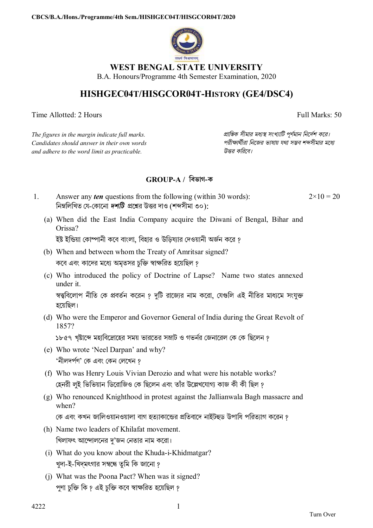

# **WEST BENGAL STATE UNIVERSITY**

B.A. Honours/Programme 4th Semester Examination, 2020

# **HISHGEC04T/HISGCOR04T-HISTORY (GE4/DSC4)**

Time Allotted: 2 Hours Full Marks: 50

*The figures in the margin indicate full marks. pািnক সীমার মধ°s সংখ°ািট পূণমান িনেদশ কের। Candidates should answer in their own words পরীkাথীরা িনেজর ভাষায় যথা সmব শbসীমার মেধ° and adhere to the word limit as practicable. উtর কিরেব।*

## **GROUP-A / িবভাগ-ক**

- 1. Answer any *ten* questions from the following (within 30 words): নিম্নলিখিত যে-কোনো *দশটি প্র*শ্নের উত্তর দাও (শব্দসীমা ৩০):  $2 \times 10 = 20$ 
	- (a) When did the East India Company acquire the Diwani of Bengal, Bihar and Orissa?

ইষ্ট ইন্ডিয়া কোম্পানী কবে বাংলা, বিহার ও উডিষ্যার দেওয়ানী অর্জন করে *?* 

- (b) When and between whom the Treaty of Amritsar signed? কবে এবং কাদের মধ্যে অমৃতসর চুক্তি স্বাক্ষরিত হয়েছিল ?
- (c) Who introduced the policy of Doctrine of Lapse? Name two states annexed under it.

স্বত্ত্ববিলোপ নীতি কে প্রবর্তন করেন ? দটি রাজ্যের নাম করো, যেগুলি এই নীতির মাধ্যমে সংযুক্ত হেয়িছল।

(d) Who were the Emperor and Governor General of India during the Great Revolt of 1857?

১৮৫৭ খৃষ্টাব্দে মহাবিদ্রোহের সময় ভারতের সম্রাট ও গভর্নর জেনারেল কে কে ছিলেন ?

- (e) Who wrote 'Neel Darpan' and why? 'নীলদপণ' েক এবং েকন েলেখন ?
- (f) Who was Henry Louis Vivian Derozio and what were his notable works? হেনরী লুই ভিভিয়ান ডিরোজিও কে ছিলেন এবং তাঁর উল্লেখযোগ্য কাজ কী কী ছিল ?
- (g) Who renounced Knighthood in protest against the Jallianwala Bagh massacre and when?

কে এবং কখন জালিওয়ানওয়ালা বাগ হত্যাকান্ডের প্রতিবাদে নাইটহুড উপাধি পরিত্যাগ করেন ?

- (h) Name two leaders of Khilafat movement. খিলাফৎ আন্দোলনের দু'জন নেতার নাম করো।
- (i) What do you know about the Khuda-i-Khidmatgar? খুদা-ই-খিদমৎগার সম্বন্ধে তুমি কি জানো ?
- (j) What was the Poona Pact? When was it signed? পুণা চুক্তি কি ? এই চুক্তি কবে স্বাক্ষরিত হয়েছিল ?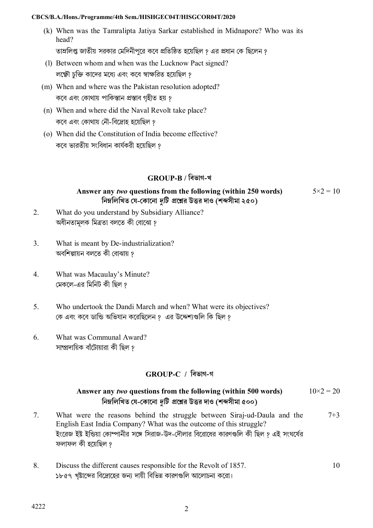#### **CBCS/B.A./Hons./Programme/4th Sem./HISHGEC04T/HISGCOR04T/2020**

(k) When was the Tamralipta Jatiya Sarkar established in Midnapore? Who was its head?

তাম্রলিপ্ত জাতীয় সরকার মেদিনীপুরে কবে প্রতিষ্ঠিত হয়েছিল ? এর প্রধান কে ছিলেন ?

- (l) Between whom and when was the Lucknow Pact signed? লক্ষ্ণৌ চুক্তি কাদের মধ্যে এবং কবে স্বাক্ষরিত হয়েছিল ?
- (m) When and where was the Pakistan resolution adopted? কবে এবং কোথায় পাকিস্তান প্রস্তাব গৃহীত হয় ?
- (n) When and where did the Naval Revolt take place? কবে এবং কোথায় নৌ-বিদ্রোহ হয়েছিল ?
- (o) When did the Constitution of India become effective? কেব ভারতীয় সংিবধান কাযকরী হেয়িছল ?

#### **GROUP-B / িবভাগ-খ**

### **Answer any** *two* **questions from the following (within 250 words) িনmিলিখত েয-েকােনা** *dিট* **pেűর উtর দাও (শbসীমা ২৫০)**

 $5 \times 2 = 10$ 

- 2. What do you understand by Subsidiary Alliance? অধীনতামূলক মিত্ৰতা বলতে কী বোঝো ?
- 3. What is meant by De-industrialization? অবশিল্পায়ন বলতে কী বোঝায় ?
- 4. What was Macaulay's Minute? মেকলে-এর মিনিট কী ছিল ?
- 5. Who undertook the Dandi March and when? What were its objectives? কে এবং কবে ডান্ডি অভিযান করেছিলেন <u>? এর উদ্দেশ্য</u>গুলি কি ছিল ?
- 6. What was Communal Award? সাম্প্রদায়িক বাঁটোয়ারা কী ছিল ?

## **GROUP-C / িবভাগ-গ**

#### **Answer any** *two* **questions from the following (within 500 words) িনmিলিখত েয-েকােনা** *dিট* **pেűর উtর দাও (শbসীমা ৫০০)**  $10\times2 = 20$

- 7. What were the reasons behind the struggle between Siraj-ud-Daula and the English East India Company? What was the outcome of this struggle? ইংরেজ ইষ্ট ইন্ডিয়া কোম্পানীর সঙ্গে সিরাজ-উদ-দৌলার বিরোধের কারণগুলি কী ছিল ? এই সংঘর্ষের ফলাফল কী হেয়িছল ?  $7+3$
- 8. Discuss the different causes responsible for the Revolt of 1857. ১৮৫৭ খৃষ্টাব্দের বিদ্রোহের জন্য দায়ী বিভিন্ন কারণগুলি আলোচনা করো। 10